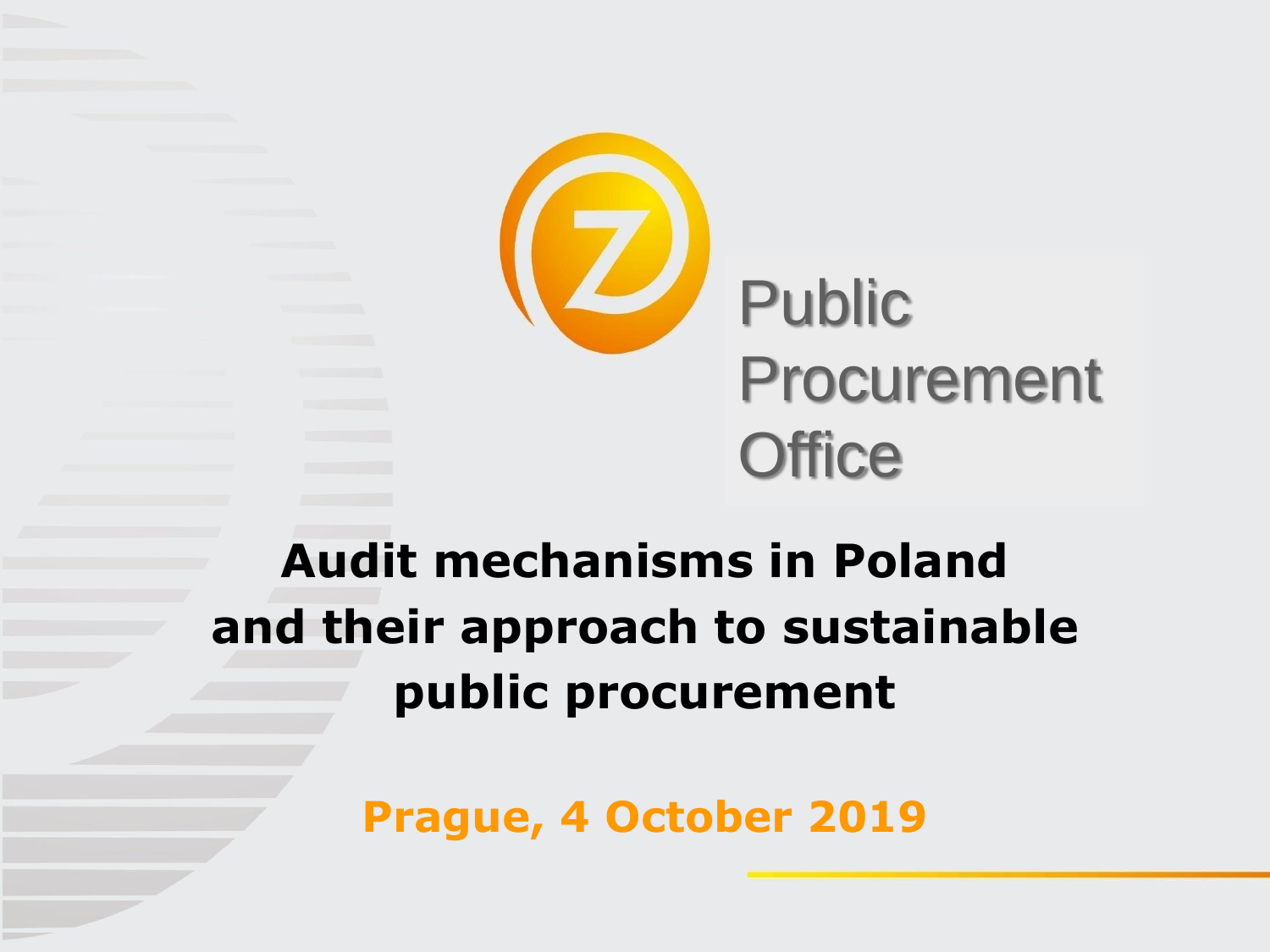

# **Audit mechanisms in Poland and their approach to sustainable public procurement**

**Prague, 4 October 2019**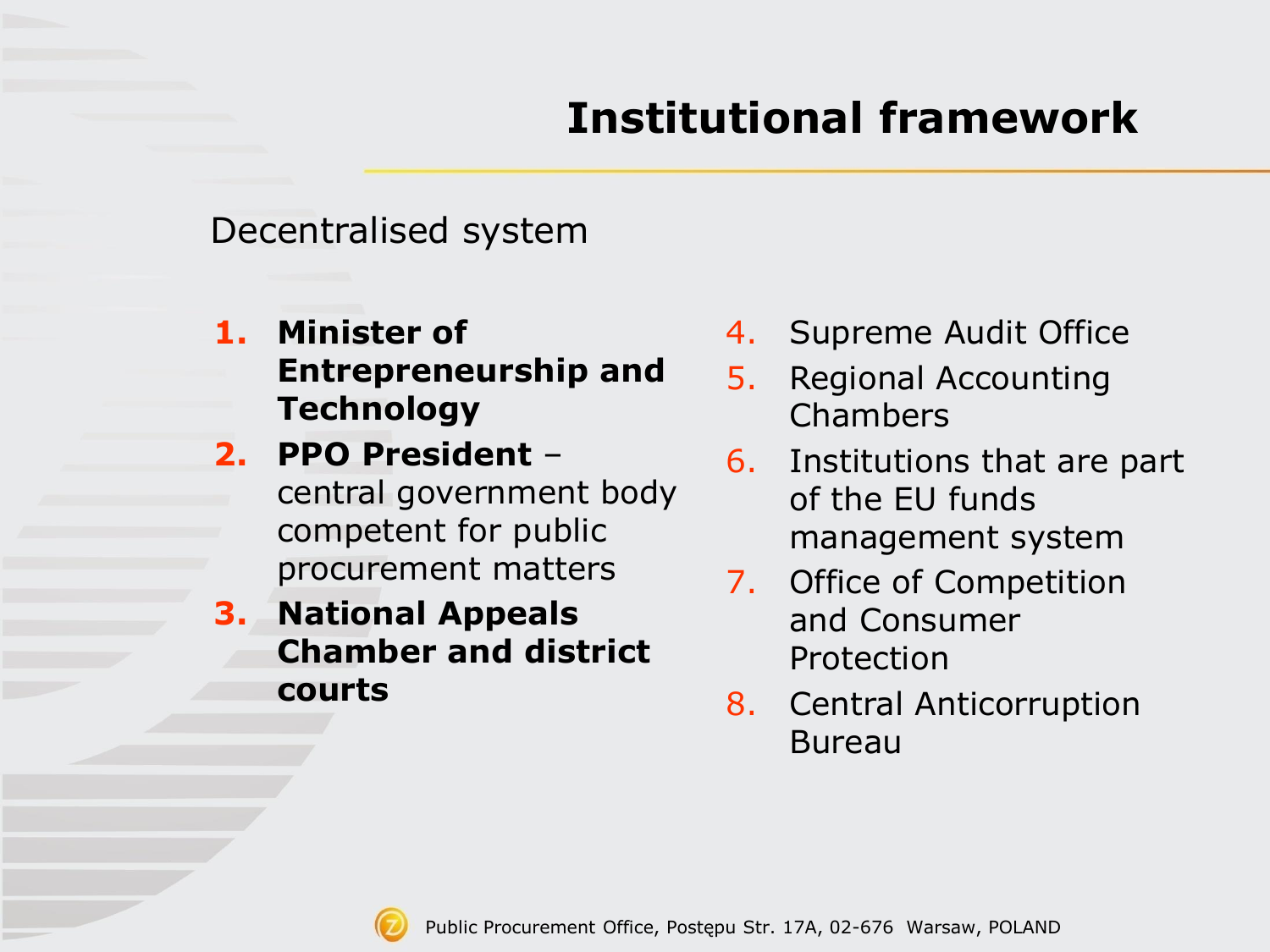## **Institutional framework**

Decentralised system

- **1. Minister of Entrepreneurship and Technology**
- **2. PPO President**  central government body competent for public procurement matters
- **3. National Appeals Chamber and district courts**
- 4. Supreme Audit Office
- 5. Regional Accounting Chambers
- 6. Institutions that are part of the EU funds management system
- 7. Office of Competition and Consumer Protection
- 8. Central Anticorruption Bureau

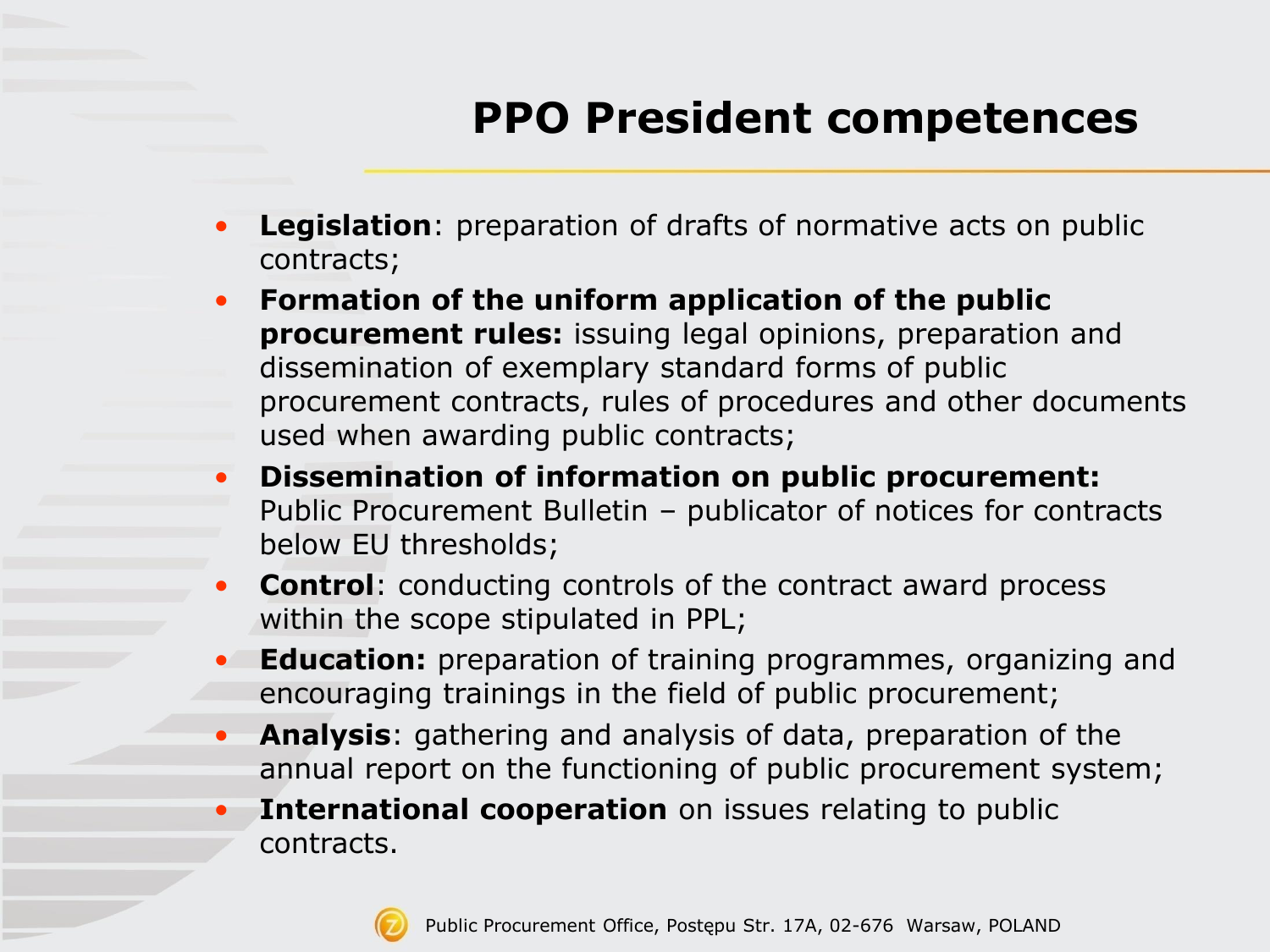## **PPO President competences**

- **Legislation**: preparation of drafts of normative acts on public contracts;
- **Formation of the uniform application of the public procurement rules:** issuing legal opinions, preparation and dissemination of exemplary standard forms of public procurement contracts, rules of procedures and other documents used when awarding public contracts;
- **Dissemination of information on public procurement:**  Public Procurement Bulletin – publicator of notices for contracts below EU thresholds;
- **Control:** conducting controls of the contract award process within the scope stipulated in PPL;
- **Education:** preparation of training programmes, organizing and encouraging trainings in the field of public procurement;
- **Analysis**: gathering and analysis of data, preparation of the annual report on the functioning of public procurement system;
- **International cooperation** on issues relating to public contracts.

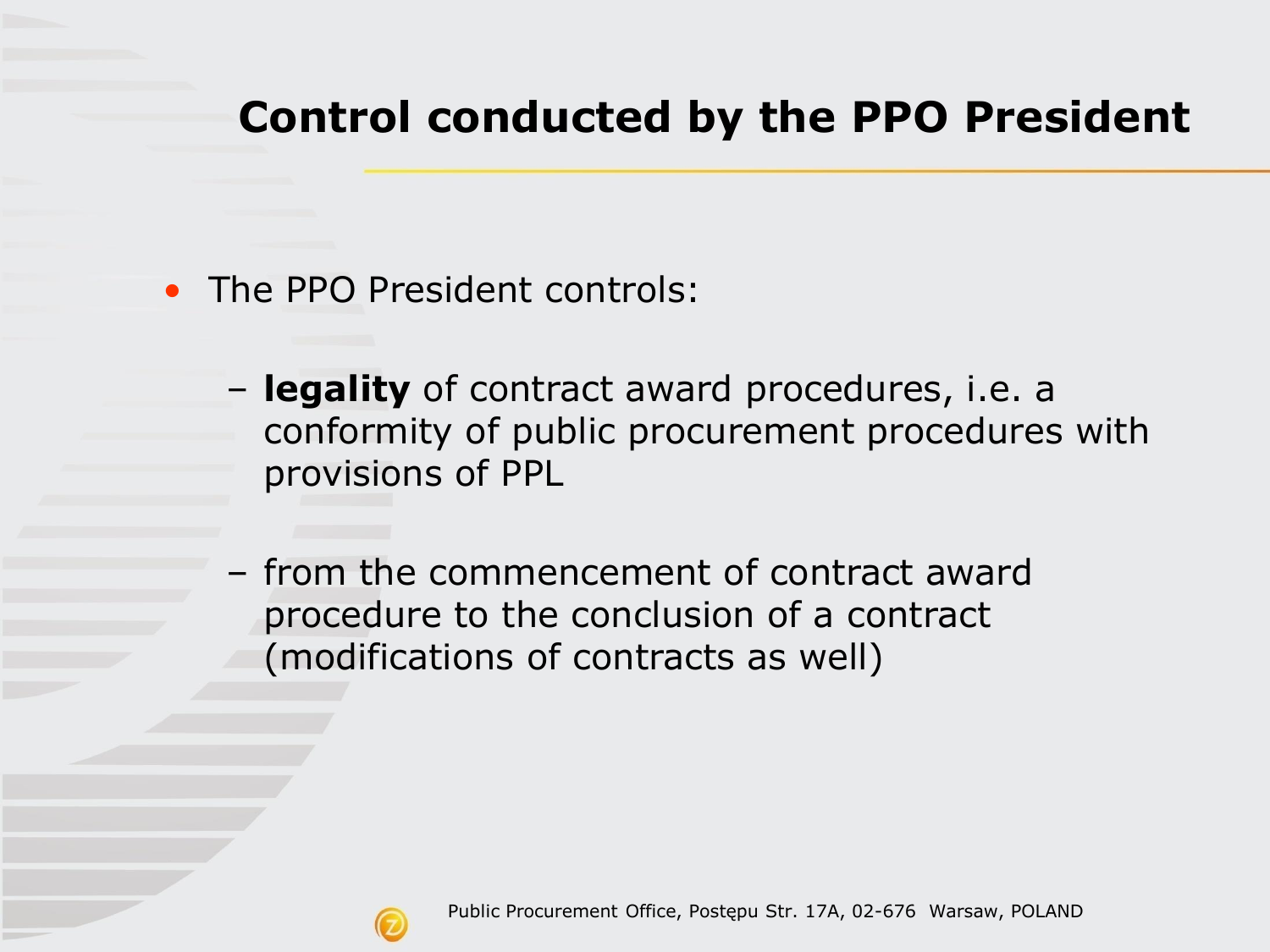### **Control conducted by the PPO President**

- The PPO President controls:
	- **legality** of contract award procedures, i.e. a conformity of public procurement procedures with provisions of PPL
	- from the commencement of contract award procedure to the conclusion of a contract (modifications of contracts as well)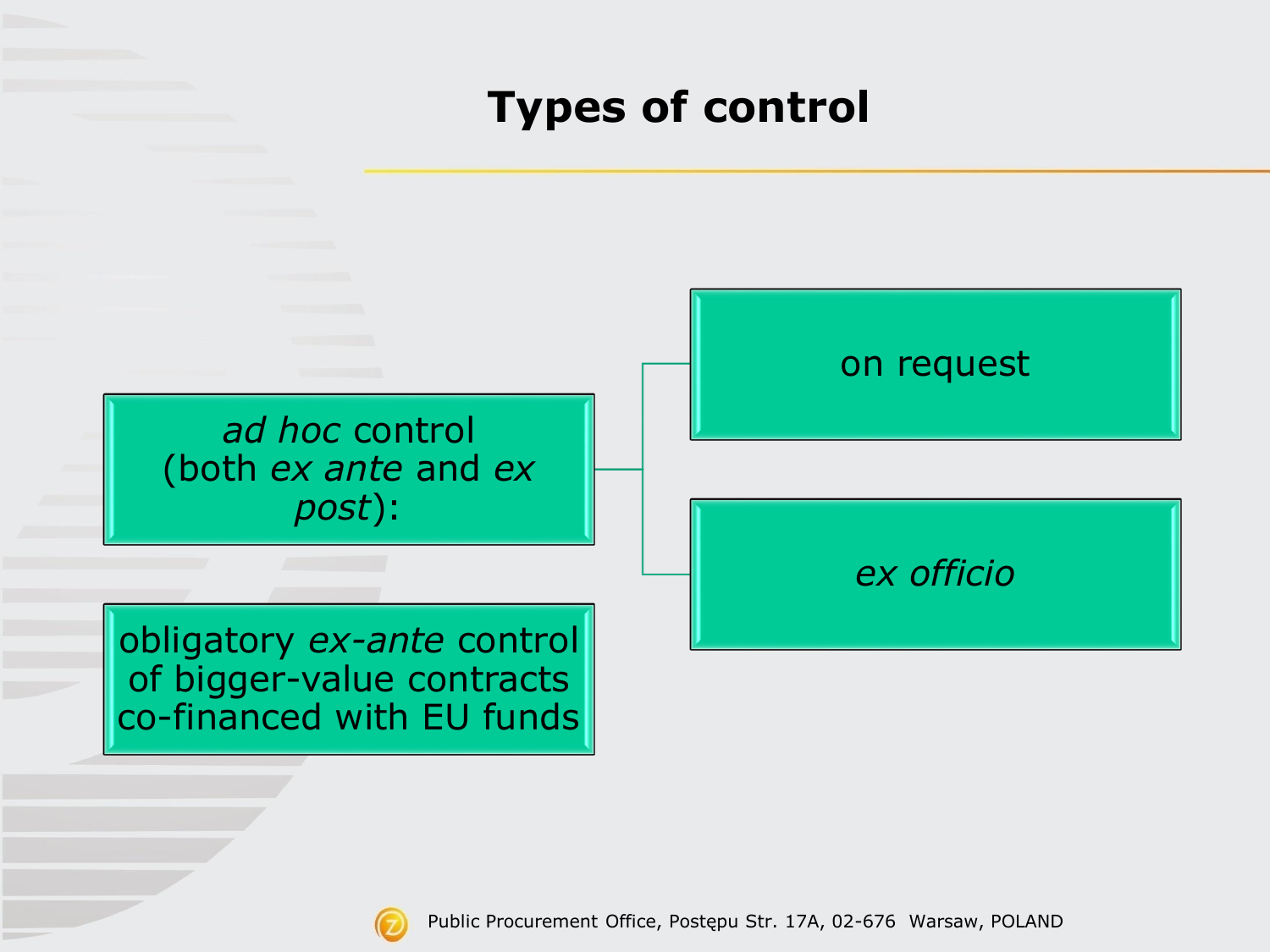### **Types of control**



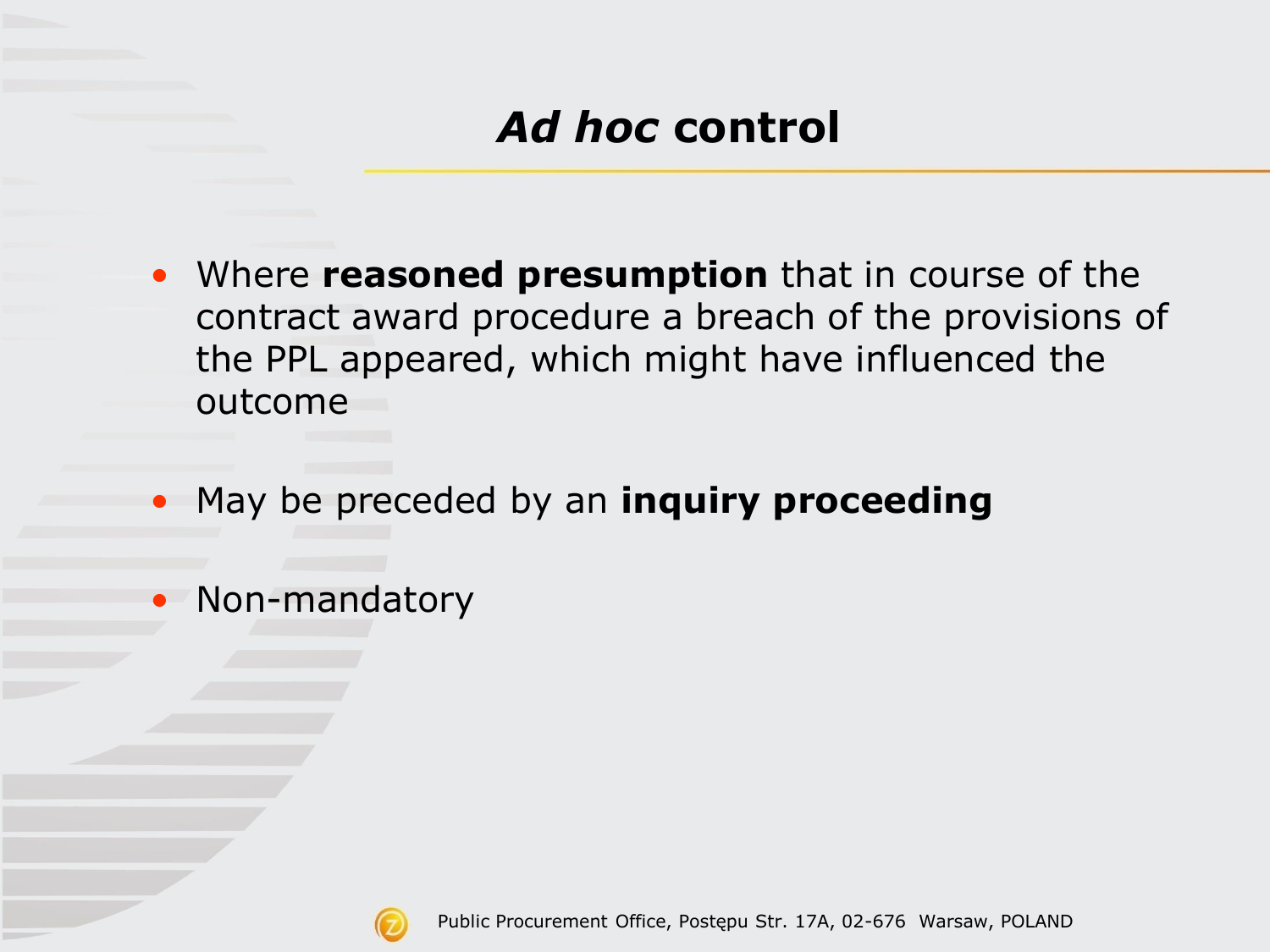- Where **reasoned presumption** that in course of the contract award procedure a breach of the provisions of the PPL appeared, which might have influenced the outcome
- May be preceded by an **inquiry proceeding**
- Non-mandatory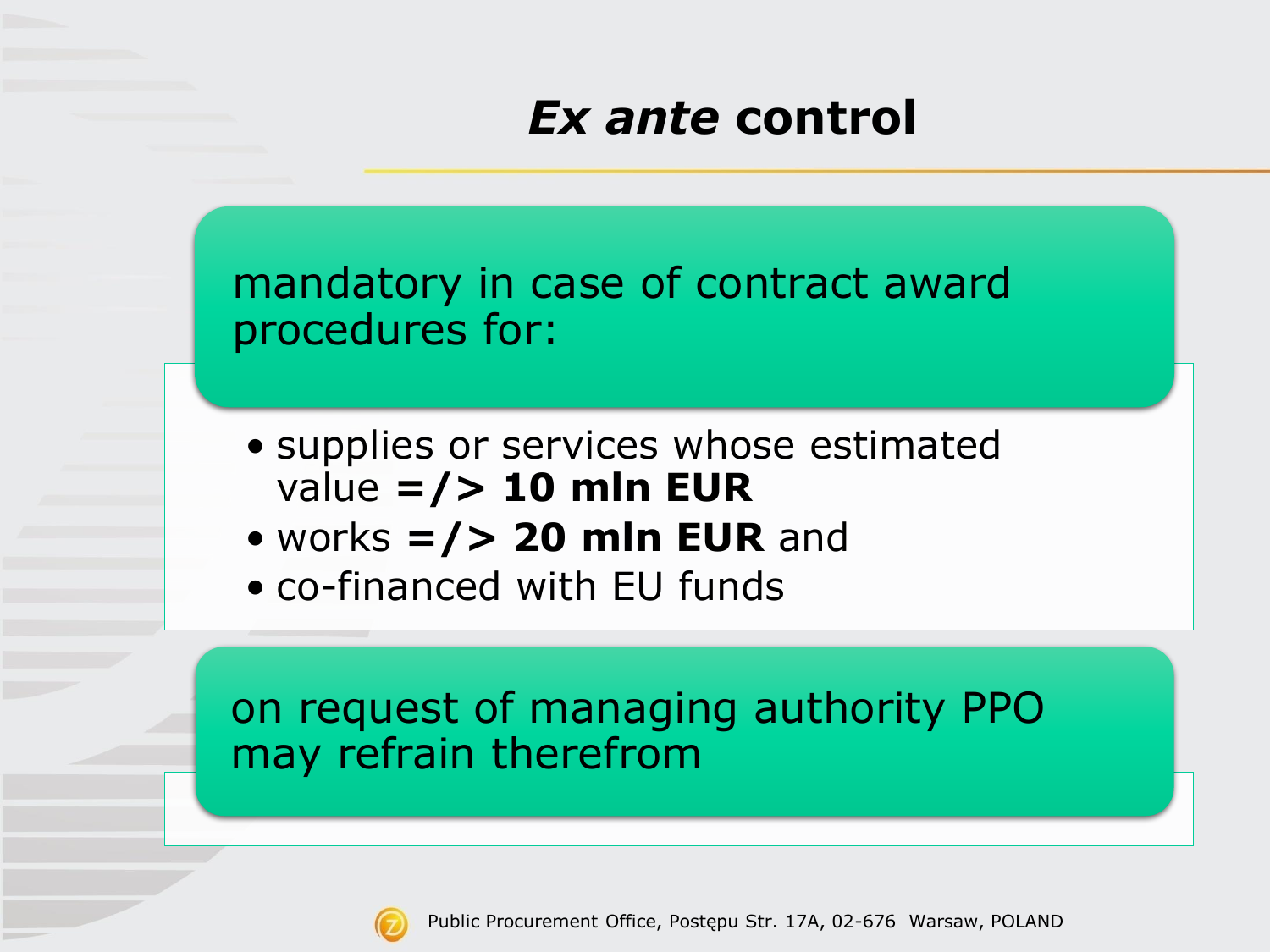## *Ex ante* **control**

mandatory in case of contract award procedures for:

- supplies or services whose estimated value **=/> 10 mln EUR**
- works **=/> 20 mln EUR** and
- co-financed with EU funds

#### on request of managing authority PPO may refrain therefrom

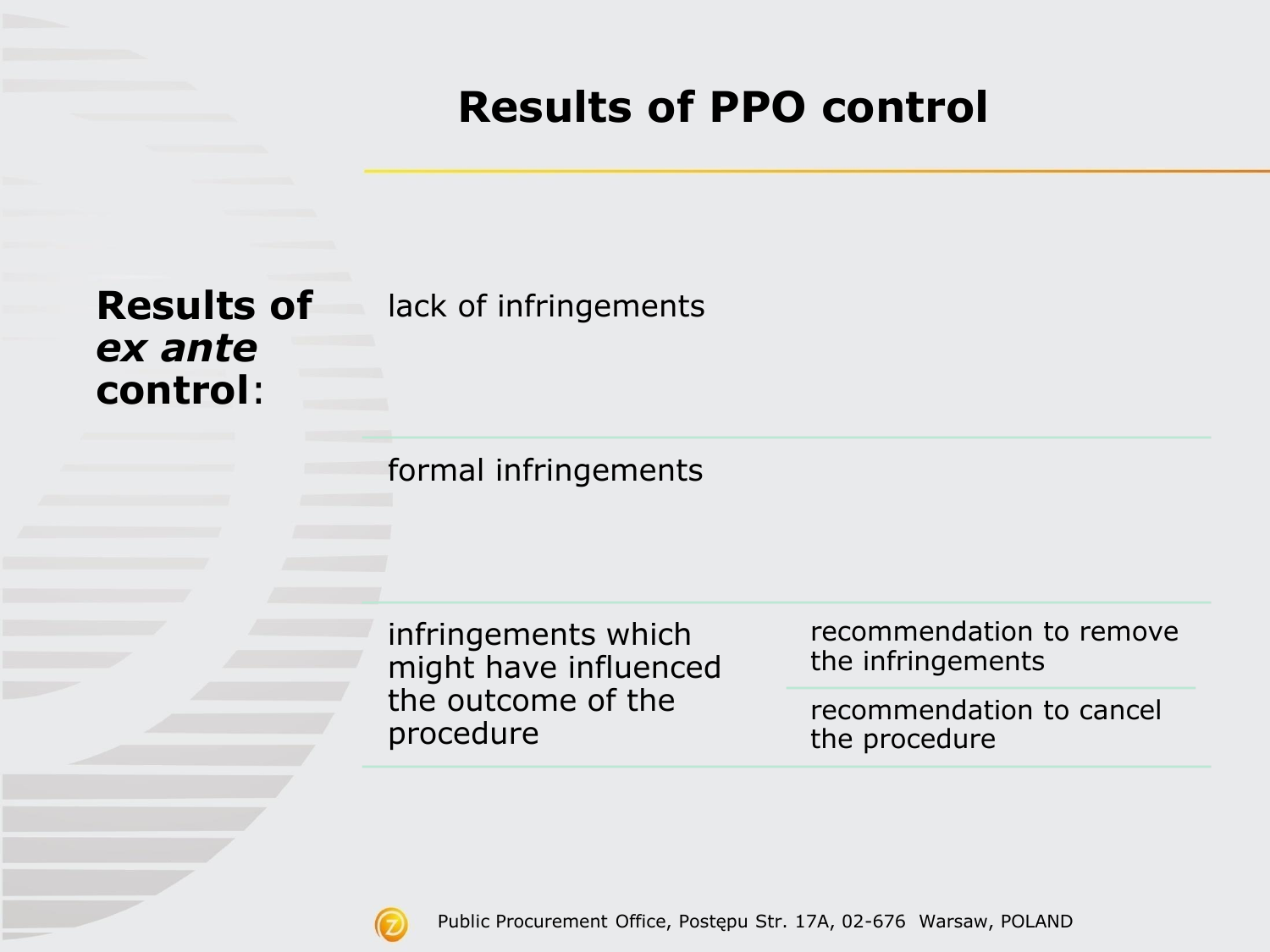### **Results of PPO control**

*ex ante*  **control**:

**Results of**  lack of infringements

formal infringements

infringements which might have influenced the outcome of the procedure

recommendation to remove the infringements

recommendation to cancel the procedure

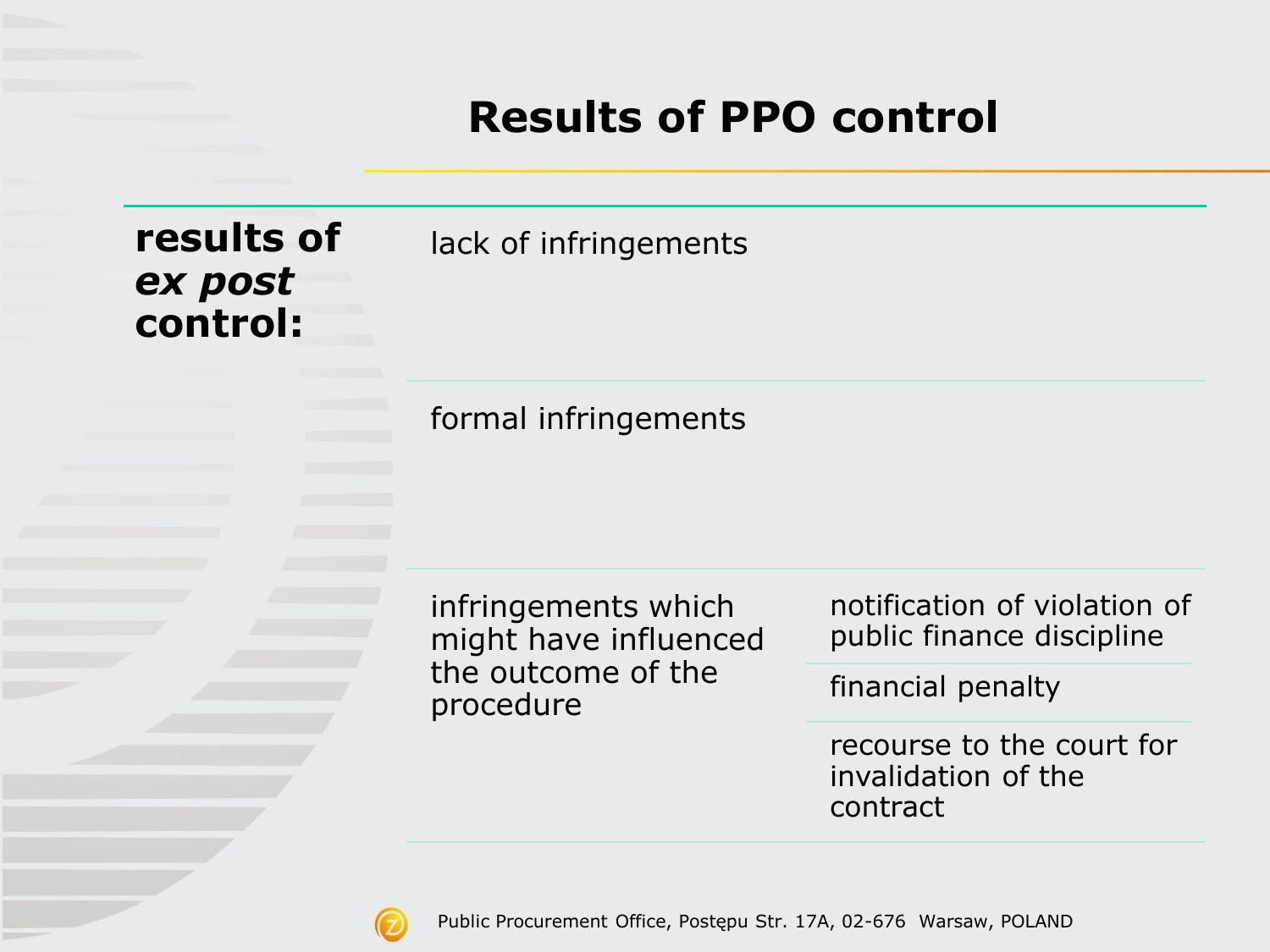#### **Results of PPO control**



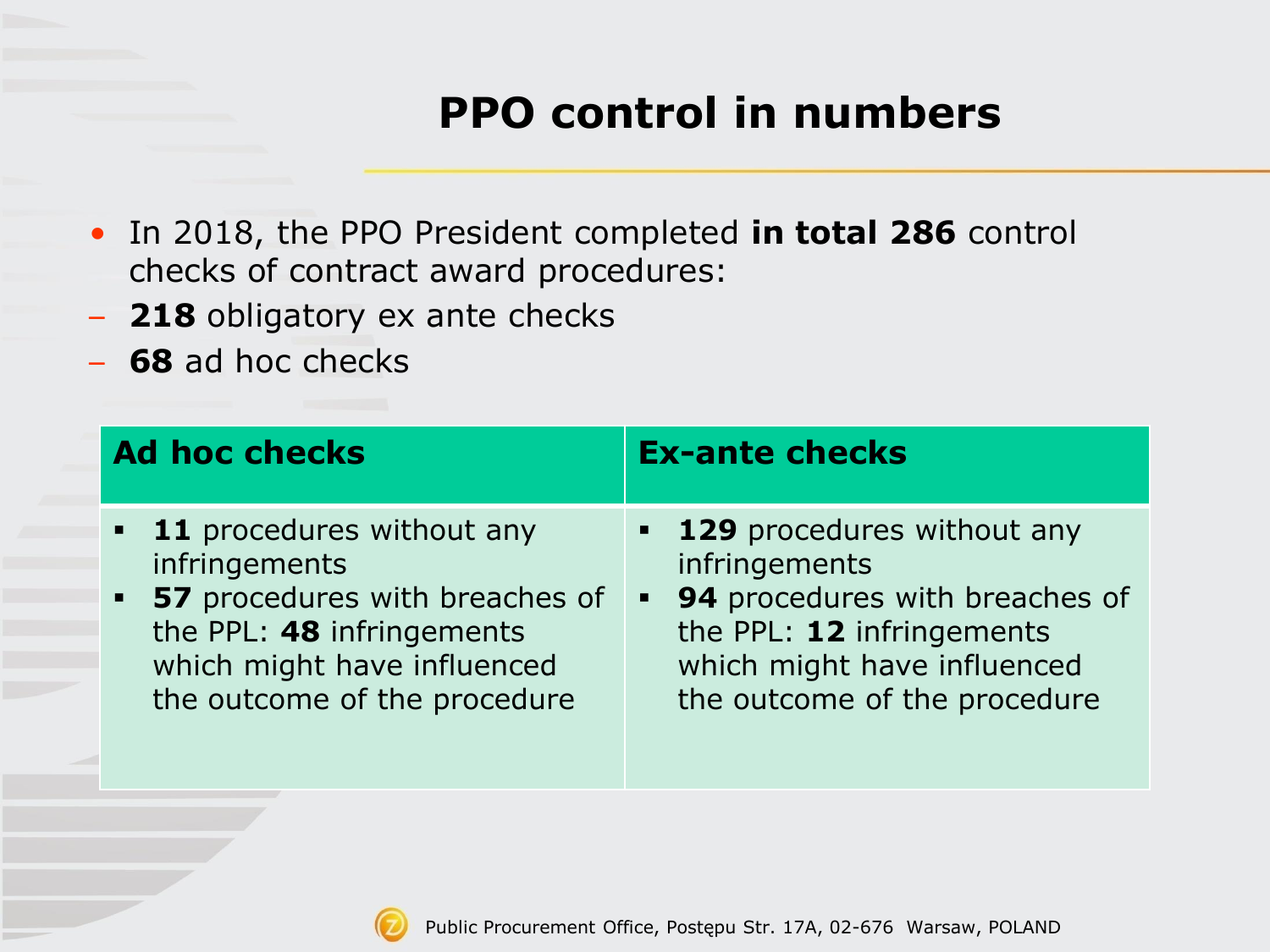## **PPO control in numbers**

- In 2018, the PPO President completed **in total 286** control checks of contract award procedures:
- **218** obligatory ex ante checks
- **68** ad hoc checks

| <b>Ad hoc checks</b>             | <b>Ex-ante checks</b>             |
|----------------------------------|-----------------------------------|
| <b>11</b> procedures without any | <b>129</b> procedures without any |
| infringements                    | infringements                     |
| • 57 procedures with breaches of | • 94 procedures with breaches of  |
| the PPL: 48 infringements        | the PPL: 12 infringements         |
| which might have influenced      | which might have influenced       |
| the outcome of the procedure     | the outcome of the procedure      |

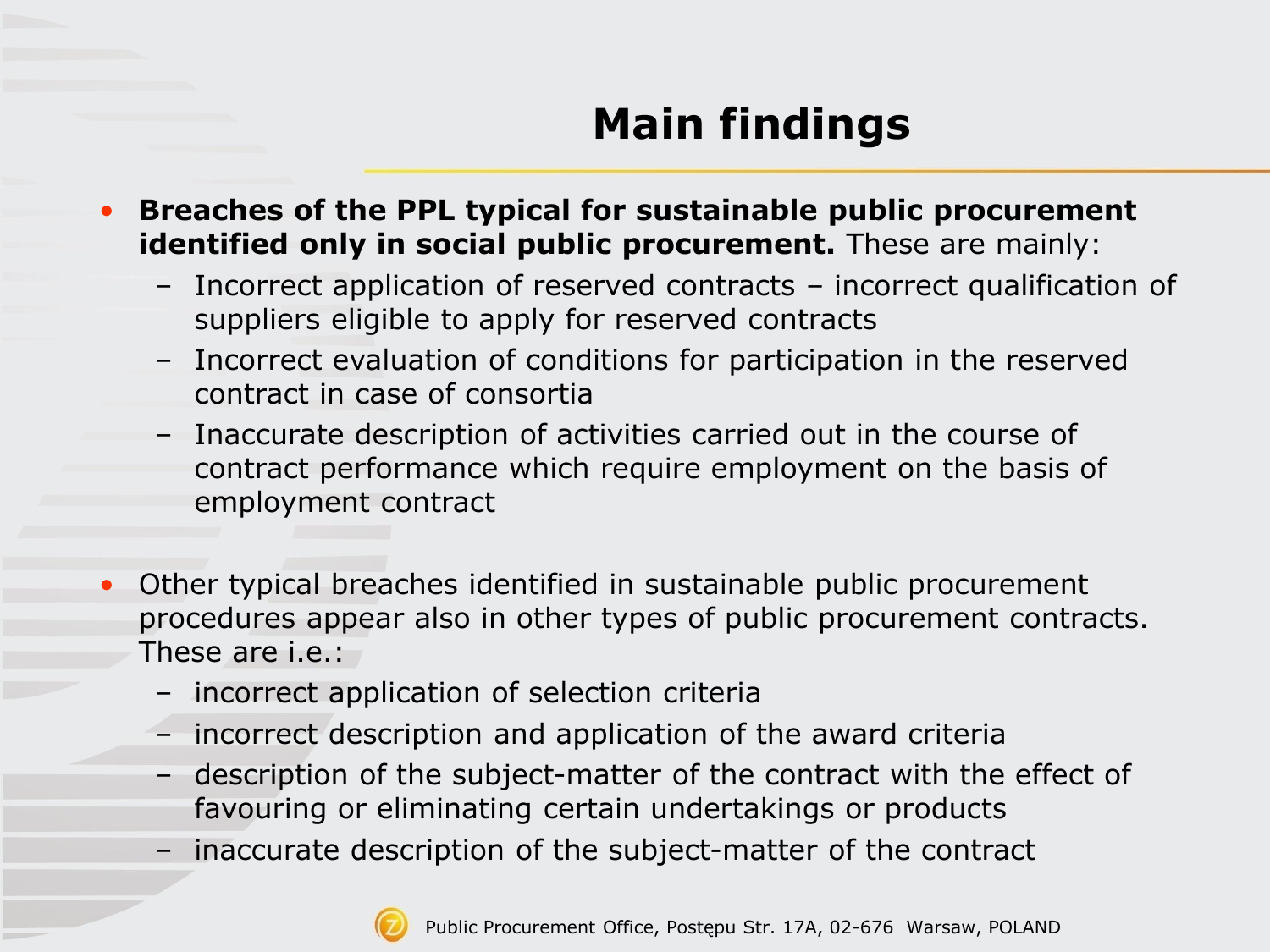# **Main findings**

- **Breaches of the PPL typical for sustainable public procurement identified only in social public procurement.** These are mainly:
	- Incorrect application of reserved contracts incorrect qualification of suppliers eligible to apply for reserved contracts
	- Incorrect evaluation of conditions for participation in the reserved contract in case of consortia
	- Inaccurate description of activities carried out in the course of contract performance which require employment on the basis of employment contract
- Other typical breaches identified in sustainable public procurement procedures appear also in other types of public procurement contracts. These are i.e.:
	- incorrect application of selection criteria
	- incorrect description and application of the award criteria
	- description of the subject-matter of the contract with the effect of favouring or eliminating certain undertakings or products
	- inaccurate description of the subject-matter of the contract

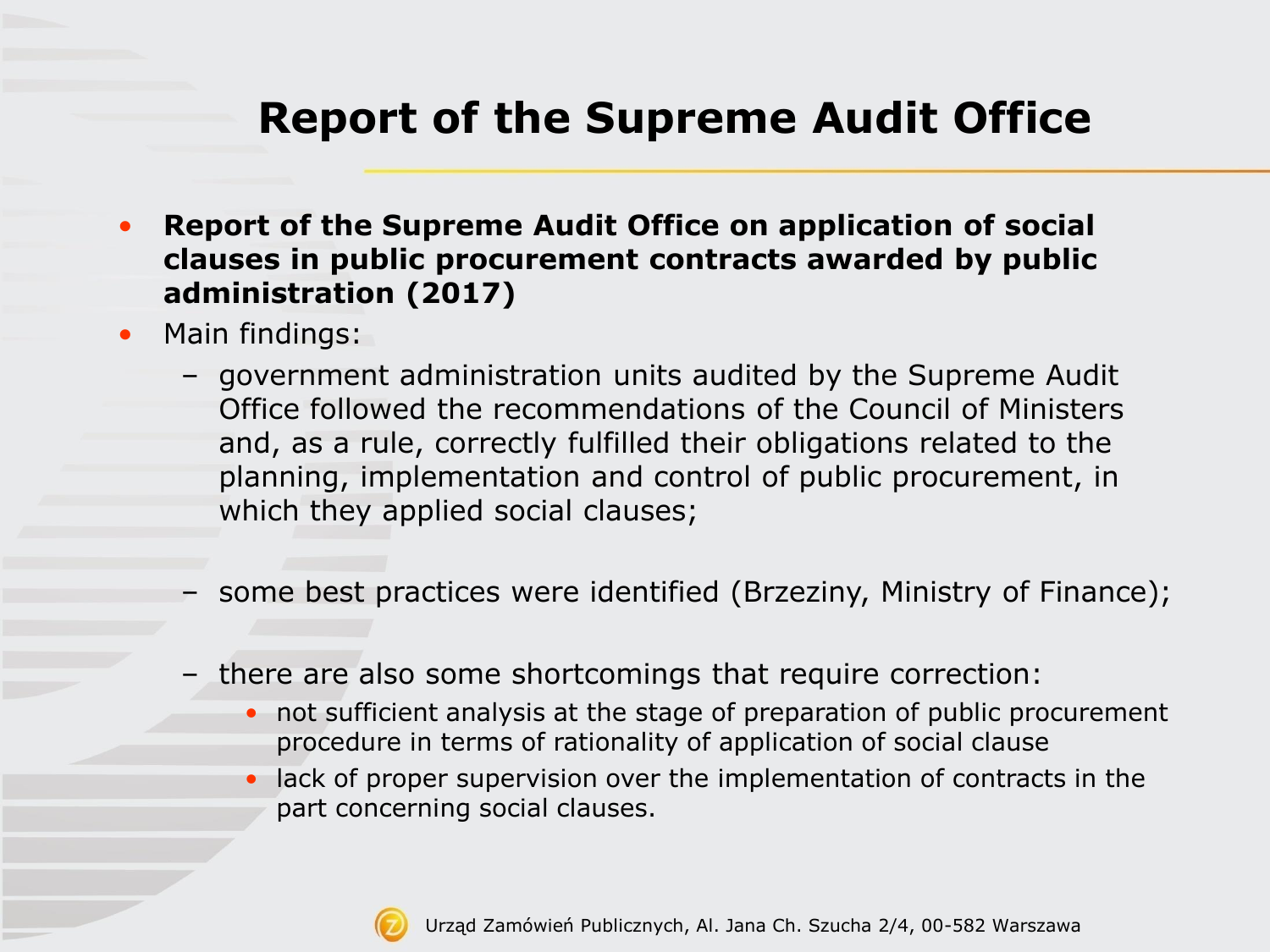## **Report of the Supreme Audit Office**

- **Report of the Supreme Audit Office on application of social clauses in public procurement contracts awarded by public administration (2017)**
- Main findings:
	- government administration units audited by the Supreme Audit Office followed the recommendations of the Council of Ministers and, as a rule, correctly fulfilled their obligations related to the planning, implementation and control of public procurement, in which they applied social clauses;
	- some best practices were identified (Brzeziny, Ministry of Finance);
	- there are also some shortcomings that require correction:
		- not sufficient analysis at the stage of preparation of public procurement procedure in terms of rationality of application of social clause
		- lack of proper supervision over the implementation of contracts in the part concerning social clauses.